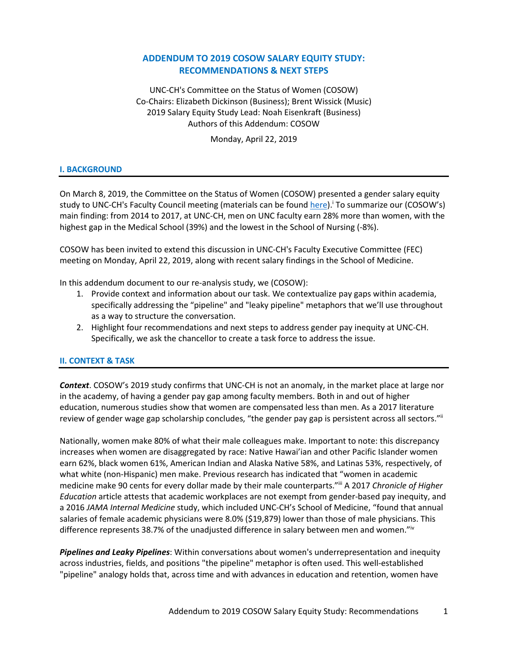# **ADDENDUM TO 2019 COSOW SALARY EQUITY STUDY: RECOMMENDATIONS & NEXT STEPS**

UNC-CH's Committee on the Status of Women (COSOW) Co-Chairs: Elizabeth Dickinson (Business); Brent Wissick (Music) 2019 Salary Equity Study Lead: Noah Eisenkraft (Business) Authors of this Addendum: COSOW

Monday, April 22, 2019

### **I. BACKGROUND**

On March 8, 2019, the Committee on the Status of Women (COSOW) presented a gender salary equity study to UNC-CH's Faculty Council meeting (materials can be found *here*).<sup>i</sup> To summarize our (COSOW's) main finding: from 2014 to 2017, at UNC-CH, men on UNC faculty earn 28% more than women, with the highest gap in the Medical School (39%) and the lowest in the School of Nursing (-8%).

COSOW has been invited to extend this discussion in UNC-CH's Faculty Executive Committee (FEC) meeting on Monday, April 22, 2019, along with recent salary findings in the School of Medicine.

In this addendum document to our re-analysis study, we (COSOW):

- 1. Provide context and information about our task. We contextualize pay gaps within academia, specifically addressing the "pipeline" and "leaky pipeline" metaphors that we'll use throughout as a way to structure the conversation.
- 2. Highlight four recommendations and next steps to address gender pay inequity at UNC-CH. Specifically, we ask the chancellor to create a task force to address the issue.

#### **II. CONTEXT & TASK**

*Context*. COSOW's 2019 study confirms that UNC-CH is not an anomaly, in the market place at large nor in the academy, of having a gender pay gap among faculty members. Both in and out of higher education, numerous studies show that women are compensated less than men. As a 2017 literature review of gender wage gap scholarship concludes, "the gender pay gap is persistent across all sectors.""

Nationally, women make 80% of what their male colleagues make. Important to note: this discrepancy increases when women are disaggregated by race: Native Hawai'ian and other Pacific Islander women earn 62%, black women 61%, American Indian and Alaska Native 58%, and Latinas 53%, respectively, of what white (non-Hispanic) men make. Previous research has indicated that "women in academic medicine make 90 cents for every dollar made by their male counterparts."iii A 2017 *Chronicle of Higher Education* article attests that academic workplaces are not exempt from gender-based pay inequity, and a 2016 *JAMA Internal Medicine* study, which included UNC-CH's School of Medicine, "found that annual salaries of female academic physicians were 8.0% (\$19,879) lower than those of male physicians. This difference represents 38.7% of the unadjusted difference in salary between men and women."<sup>iv</sup>

*Pipelines and Leaky Pipelines*: Within conversations about women's underrepresentation and inequity across industries, fields, and positions "the pipeline" metaphor is often used. This well-established "pipeline" analogy holds that, across time and with advances in education and retention, women have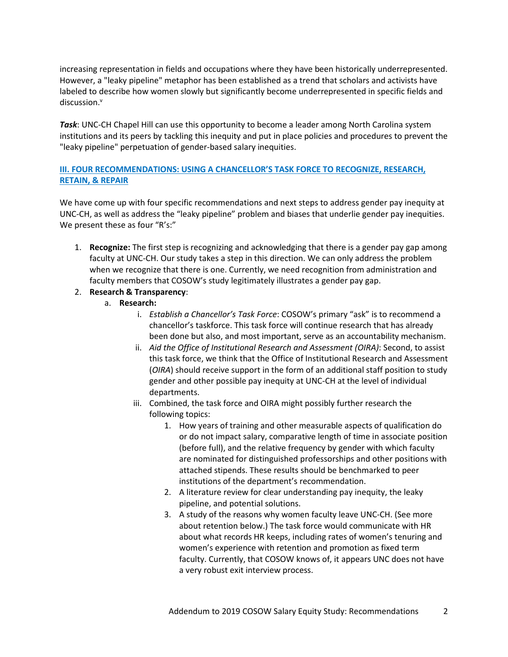increasing representation in fields and occupations where they have been historically underrepresented. However, a "leaky pipeline" metaphor has been established as a trend that scholars and activists have labeled to describe how women slowly but significantly become underrepresented in specific fields and discussion.<sup>v</sup>

*Task*: UNC-CH Chapel Hill can use this opportunity to become a leader among North Carolina system institutions and its peers by tackling this inequity and put in place policies and procedures to prevent the "leaky pipeline" perpetuation of gender-based salary inequities.

## **III. FOUR RECOMMENDATIONS: USING A CHANCELLOR'S TASK FORCE TO RECOGNIZE, RESEARCH, RETAIN, & REPAIR**

We have come up with four specific recommendations and next steps to address gender pay inequity at UNC-CH, as well as address the "leaky pipeline" problem and biases that underlie gender pay inequities. We present these as four "R's:"

1. **Recognize:** The first step is recognizing and acknowledging that there is a gender pay gap among faculty at UNC-CH. Our study takes a step in this direction. We can only address the problem when we recognize that there is one. Currently, we need recognition from administration and faculty members that COSOW's study legitimately illustrates a gender pay gap.

## 2. **Research & Transparency**:

- a. **Research:**
	- i. *Establish a Chancellor's Task Force*: COSOW's primary "ask" is to recommend a chancellor's taskforce. This task force will continue research that has already been done but also, and most important, serve as an accountability mechanism.
	- ii. *Aid the Office of Institutional Research and Assessment (OIRA)*: Second, to assist this task force, we think that the Office of Institutional Research and Assessment (*OIRA*) should receive support in the form of an additional staff position to study gender and other possible pay inequity at UNC-CH at the level of individual departments.
	- iii. Combined, the task force and OIRA might possibly further research the following topics:
		- 1. How years of training and other measurable aspects of qualification do or do not impact salary, comparative length of time in associate position (before full), and the relative frequency by gender with which faculty are nominated for distinguished professorships and other positions with attached stipends. These results should be benchmarked to peer institutions of the department's recommendation.
		- 2. A literature review for clear understanding pay inequity, the leaky pipeline, and potential solutions.
		- 3. A study of the reasons why women faculty leave UNC-CH. (See more about retention below.) The task force would communicate with HR about what records HR keeps, including rates of women's tenuring and women's experience with retention and promotion as fixed term faculty. Currently, that COSOW knows of, it appears UNC does not have a very robust exit interview process.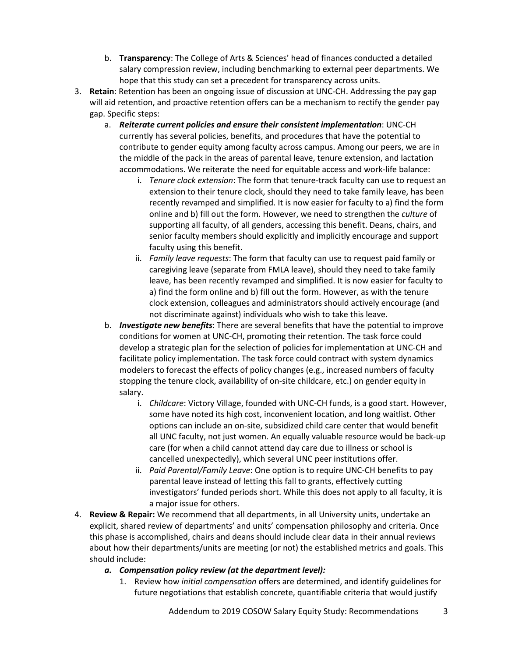- b. **Transparency**: The College of Arts & Sciences' head of finances conducted a detailed salary compression review, including benchmarking to external peer departments. We hope that this study can set a precedent for transparency across units.
- 3. **Retain**: Retention has been an ongoing issue of discussion at UNC-CH. Addressing the pay gap will aid retention, and proactive retention offers can be a mechanism to rectify the gender pay gap. Specific steps:
	- a. *Reiterate current policies and ensure their consistent implementation*: UNC-CH currently has several policies, benefits, and procedures that have the potential to contribute to gender equity among faculty across campus. Among our peers, we are in the middle of the pack in the areas of parental leave, tenure extension, and lactation accommodations. We reiterate the need for equitable access and work-life balance:
		- i. *Tenure clock extension*: The form that tenure-track faculty can use to request an extension to their tenure clock, should they need to take family leave, has been recently revamped and simplified. It is now easier for faculty to a) find the form online and b) fill out the form. However, we need to strengthen the *culture* of supporting all faculty, of all genders, accessing this benefit. Deans, chairs, and senior faculty members should explicitly and implicitly encourage and support faculty using this benefit.
		- ii. *Family leave requests*: The form that faculty can use to request paid family or caregiving leave (separate from FMLA leave), should they need to take family leave, has been recently revamped and simplified. It is now easier for faculty to a) find the form online and b) fill out the form. However, as with the tenure clock extension, colleagues and administrators should actively encourage (and not discriminate against) individuals who wish to take this leave.
	- b. *Investigate new benefits*: There are several benefits that have the potential to improve conditions for women at UNC-CH, promoting their retention. The task force could develop a strategic plan for the selection of policies for implementation at UNC-CH and facilitate policy implementation. The task force could contract with system dynamics modelers to forecast the effects of policy changes (e.g., increased numbers of faculty stopping the tenure clock, availability of on-site childcare, etc.) on gender equity in salary.
		- i. *Childcare*: Victory Village, founded with UNC-CH funds, is a good start. However, some have noted its high cost, inconvenient location, and long waitlist. Other options can include an on-site, subsidized child care center that would benefit all UNC faculty, not just women. An equally valuable resource would be back-up care (for when a child cannot attend day care due to illness or school is cancelled unexpectedly), which several UNC peer institutions offer.
		- ii. *Paid Parental/Family Leave*: One option is to require UNC-CH benefits to pay parental leave instead of letting this fall to grants, effectively cutting investigators' funded periods short. While this does not apply to all faculty, it is a major issue for others.
- 4. **Review & Repair:** We recommend that all departments, in all University units, undertake an explicit, shared review of departments' and units' compensation philosophy and criteria. Once this phase is accomplished, chairs and deans should include clear data in their annual reviews about how their departments/units are meeting (or not) the established metrics and goals. This should include:
	- *a. Compensation policy review (at the department level):* 
		- 1. Review how *initial compensation* offers are determined, and identify guidelines for future negotiations that establish concrete, quantifiable criteria that would justify